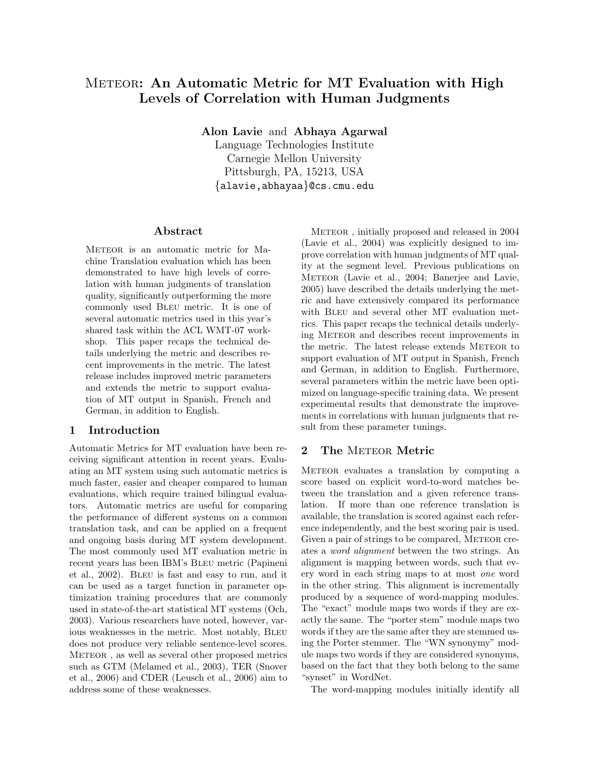# METEOR: An Automatic Metric for MT Evaluation with High Levels of Correlation with Human Judgments

Alon Lavie and Abhaya Agarwal

Language Technologies Institute Carnegie Mellon University Pittsburgh, PA, 15213, USA {alavie,abhayaa}@cs.cmu.edu

## Abstract

METEOR is an automatic metric for Machine Translation evaluation which has been demonstrated to have high levels of correlation with human judgments of translation quality, significantly outperforming the more commonly used Bleu metric. It is one of several automatic metrics used in this year's shared task within the ACL WMT-07 workshop. This paper recaps the technical details underlying the metric and describes recent improvements in the metric. The latest release includes improved metric parameters and extends the metric to support evaluation of MT output in Spanish, French and German, in addition to English.

# 1 Introduction

Automatic Metrics for MT evaluation have been receiving significant attention in recent years. Evaluating an MT system using such automatic metrics is much faster, easier and cheaper compared to human evaluations, which require trained bilingual evaluators. Automatic metrics are useful for comparing the performance of different systems on a common translation task, and can be applied on a frequent and ongoing basis during MT system development. The most commonly used MT evaluation metric in recent years has been IBM's Bleu metric (Papineni et al., 2002). Bleu is fast and easy to run, and it can be used as a target function in parameter optimization training procedures that are commonly used in state-of-the-art statistical MT systems (Och, 2003). Various researchers have noted, however, various weaknesses in the metric. Most notably, Bleu does not produce very reliable sentence-level scores. METEOR, as well as several other proposed metrics such as GTM (Melamed et al., 2003), TER (Snover et al., 2006) and CDER (Leusch et al., 2006) aim to address some of these weaknesses.

METEOR, initially proposed and released in 2004 (Lavie et al., 2004) was explicitly designed to improve correlation with human judgments of MT quality at the segment level. Previous publications on METEOR (Lavie et al., 2004; Banerjee and Lavie, 2005) have described the details underlying the metric and have extensively compared its performance with BLEU and several other MT evaluation metrics. This paper recaps the technical details underlying Meteor and describes recent improvements in the metric. The latest release extends METEOR to support evaluation of MT output in Spanish, French and German, in addition to English. Furthermore, several parameters within the metric have been optimized on language-specific training data. We present experimental results that demonstrate the improvements in correlations with human judgments that result from these parameter tunings.

# 2 The METEOR Metric

METEOR evaluates a translation by computing a score based on explicit word-to-word matches between the translation and a given reference translation. If more than one reference translation is available, the translation is scored against each reference independently, and the best scoring pair is used. Given a pair of strings to be compared, METEOR creates a word alignment between the two strings. An alignment is mapping between words, such that every word in each string maps to at most one word in the other string. This alignment is incrementally produced by a sequence of word-mapping modules. The "exact" module maps two words if they are exactly the same. The "porter stem" module maps two words if they are the same after they are stemmed using the Porter stemmer. The "WN synonymy" module maps two words if they are considered synonyms, based on the fact that they both belong to the same "synset" in WordNet.

The word-mapping modules initially identify all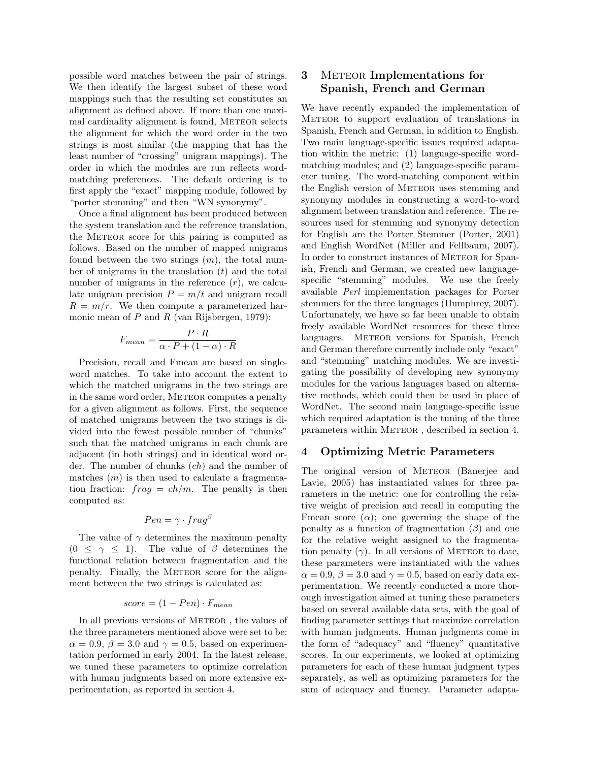possible word matches between the pair of strings. We then identify the largest subset of these word mappings such that the resulting set constitutes an alignment as defined above. If more than one maximal cardinality alignment is found, METEOR selects the alignment for which the word order in the two strings is most similar (the mapping that has the least number of "crossing" unigram mappings). The order in which the modules are run reflects wordmatching preferences. The default ordering is to first apply the "exact" mapping module, followed by "porter stemming" and then "WN synonymy".

Once a final alignment has been produced between the system translation and the reference translation, the METEOR score for this pairing is computed as follows. Based on the number of mapped unigrams found between the two strings  $(m)$ , the total number of unigrams in the translation  $(t)$  and the total number of unigrams in the reference  $(r)$ , we calculate unigram precision  $P = m/t$  and unigram recall  $R = m/r$ . We then compute a parameterized harmonic mean of  $P$  and  $R$  (van Rijsbergen, 1979):

$$
F_{mean} = \frac{P \cdot R}{\alpha \cdot P + (1 - \alpha) \cdot R}
$$

Precision, recall and Fmean are based on singleword matches. To take into account the extent to which the matched unigrams in the two strings are in the same word order, METEOR computes a penalty for a given alignment as follows. First, the sequence of matched unigrams between the two strings is divided into the fewest possible number of "chunks" such that the matched unigrams in each chunk are adjacent (in both strings) and in identical word order. The number of chunks (ch) and the number of matches  $(m)$  is then used to calculate a fragmentation fraction:  $fr a q = ch/m$ . The penalty is then computed as:

$$
Pen = \gamma \cdot frag^{\beta}
$$

The value of  $\gamma$  determines the maximum penalty  $(0 \leq \gamma \leq 1)$ . The value of  $\beta$  determines the functional relation between fragmentation and the penalty. Finally, the METEOR score for the alignment between the two strings is calculated as:

$$
score = (1 - Pen) \cdot F_{mean}
$$

In all previous versions of METEOR, the values of the three parameters mentioned above were set to be:  $\alpha = 0.9, \beta = 3.0$  and  $\gamma = 0.5$ , based on experimentation performed in early 2004. In the latest release, we tuned these parameters to optimize correlation with human judgments based on more extensive experimentation, as reported in section 4.

# 3 METEOR Implementations for Spanish, French and German

We have recently expanded the implementation of METEOR to support evaluation of translations in Spanish, French and German, in addition to English. Two main language-specific issues required adaptation within the metric: (1) language-specific wordmatching modules; and (2) language-specific parameter tuning. The word-matching component within the English version of METEOR uses stemming and synonymy modules in constructing a word-to-word alignment between translation and reference. The resources used for stemming and synonymy detection for English are the Porter Stemmer (Porter, 2001) and English WordNet (Miller and Fellbaum, 2007). In order to construct instances of Meteor for Spanish, French and German, we created new languagespecific "stemming" modules. We use the freely available Perl implementation packages for Porter stemmers for the three languages (Humphrey, 2007). Unfortunately, we have so far been unable to obtain freely available WordNet resources for these three languages. METEOR versions for Spanish, French and German therefore currently include only "exact" and "stemming" matching modules. We are investigating the possibility of developing new synonymy modules for the various languages based on alternative methods, which could then be used in place of WordNet. The second main language-specific issue which required adaptation is the tuning of the three parameters within METEOR, described in section 4.

## 4 Optimizing Metric Parameters

The original version of METEOR (Banerjee and Lavie, 2005) has instantiated values for three parameters in the metric: one for controlling the relative weight of precision and recall in computing the Fmean score  $(\alpha)$ ; one governing the shape of the penalty as a function of fragmentation  $(\beta)$  and one for the relative weight assigned to the fragmentation penalty  $(\gamma)$ . In all versions of METEOR to date, these parameters were instantiated with the values  $\alpha = 0.9, \beta = 3.0$  and  $\gamma = 0.5$ , based on early data experimentation. We recently conducted a more thorough investigation aimed at tuning these parameters based on several available data sets, with the goal of finding parameter settings that maximize correlation with human judgments. Human judgments come in the form of "adequacy" and "fluency" quantitative scores. In our experiments, we looked at optimizing parameters for each of these human judgment types separately, as well as optimizing parameters for the sum of adequacy and fluency. Parameter adapta-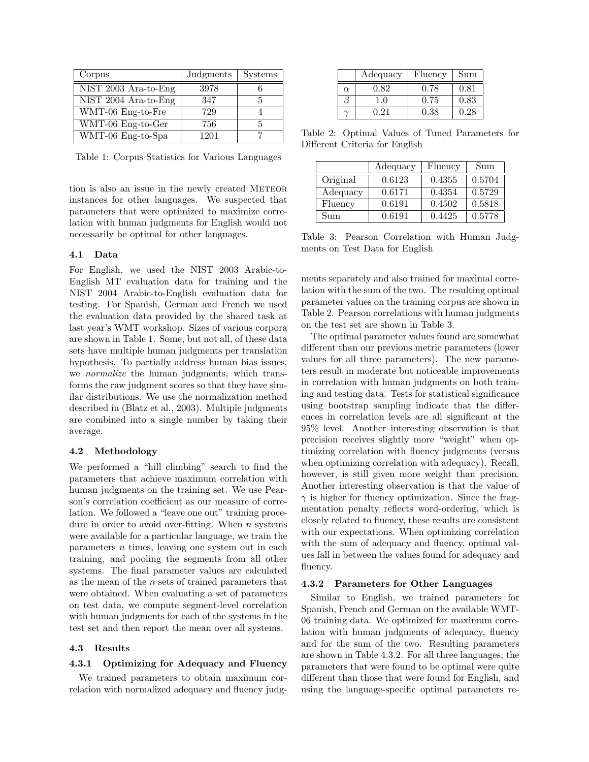| Corpus               | Judgments | <b>Systems</b> |
|----------------------|-----------|----------------|
| NIST 2003 Ara-to-Eng | 3978      |                |
| NIST 2004 Ara-to-Eng | 347       |                |
| WMT-06 Eng-to-Fre    | 729       |                |
| WMT-06 Eng-to-Ger    | 756       | h              |
| WMT-06 Eng-to-Spa    | 1201      |                |

Table 1: Corpus Statistics for Various Languages

tion is also an issue in the newly created METEOR instances for other languages. We suspected that parameters that were optimized to maximize correlation with human judgments for English would not necessarily be optimal for other languages.

# 4.1 Data

For English, we used the NIST 2003 Arabic-to-English MT evaluation data for training and the NIST 2004 Arabic-to-English evaluation data for testing. For Spanish, German and French we used the evaluation data provided by the shared task at last year's WMT workshop. Sizes of various corpora are shown in Table 1. Some, but not all, of these data sets have multiple human judgments per translation hypothesis. To partially address human bias issues, we *normalize* the human judgments, which transforms the raw judgment scores so that they have similar distributions. We use the normalization method described in (Blatz et al., 2003). Multiple judgments are combined into a single number by taking their average.

#### 4.2 Methodology

We performed a "hill climbing" search to find the parameters that achieve maximum correlation with human judgments on the training set. We use Pearson's correlation coefficient as our measure of correlation. We followed a "leave one out" training procedure in order to avoid over-fitting. When  $n$  systems were available for a particular language, we train the parameters n times, leaving one system out in each training, and pooling the segments from all other systems. The final parameter values are calculated as the mean of the  $n$  sets of trained parameters that were obtained. When evaluating a set of parameters on test data, we compute segment-level correlation with human judgments for each of the systems in the test set and then report the mean over all systems.

#### 4.3 Results

# 4.3.1 Optimizing for Adequacy and Fluency

We trained parameters to obtain maximum correlation with normalized adequacy and fluency judg-

|          | Adequacy | Fluency | Sum  |
|----------|----------|---------|------|
| $\alpha$ | 0.82     | 0.78    | 0.81 |
|          | 1.0      | 0.75    | 0.83 |
|          | O 21     | 0.38    | 0.28 |

Table 2: Optimal Values of Tuned Parameters for Different Criteria for English

|          | Adequacy | Fluency | Sum    |
|----------|----------|---------|--------|
| Original | 0.6123   | 0.4355  | 0.5704 |
| Adequacy | 0.6171   | 0.4354  | 0.5729 |
| Fluency  | 0.6191   | 0.4502  | 0.5818 |
| Sum      | 0.6191   | 0.4425  | 0.5778 |

Table 3: Pearson Correlation with Human Judgments on Test Data for English

ments separately and also trained for maximal correlation with the sum of the two. The resulting optimal parameter values on the training corpus are shown in Table 2. Pearson correlations with human judgments on the test set are shown in Table 3.

The optimal parameter values found are somewhat different than our previous metric parameters (lower values for all three parameters). The new parameters result in moderate but noticeable improvements in correlation with human judgments on both training and testing data. Tests for statistical significance using bootstrap sampling indicate that the differences in correlation levels are all significant at the 95% level. Another interesting observation is that precision receives slightly more "weight" when optimizing correlation with fluency judgments (versus when optimizing correlation with adequacy). Recall, however, is still given more weight than precision. Another interesting observation is that the value of  $\gamma$  is higher for fluency optimization. Since the fragmentation penalty reflects word-ordering, which is closely related to fluency, these results are consistent with our expectations. When optimizing correlation with the sum of adequacy and fluency, optimal values fall in between the values found for adequacy and fluency.

#### 4.3.2 Parameters for Other Languages

Similar to English, we trained parameters for Spanish, French and German on the available WMT-06 training data. We optimized for maximum correlation with human judgments of adequacy, fluency and for the sum of the two. Resulting parameters are shown in Table 4.3.2. For all three languages, the parameters that were found to be optimal were quite different than those that were found for English, and using the language-specific optimal parameters re-